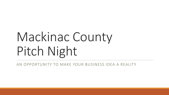# Mackinac County Pitch Night

AN OPPORTUNITY TO MAKE YOUR BUSINESS IDEA A REALITY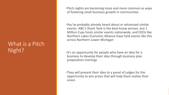### What is a Pitch Night?

•Pitch nights are becoming more and more common as ways of fostering small business growth in communities

- •You've probably already heard about or witnessed similar events- ABC's Shark Tank is the best-know version, but 1 Million Cups hosts similar events nationwide, and EDOs like Northern Lakes Economic Alliance have held events like this across Northern Lower Michigan
- •It's an opportunity for people who have an idea for a business to develop their idea through business plan preparation trainings
- •They will present their idea to a panel of judges for the opportunity to win prizes that will help them realize their vision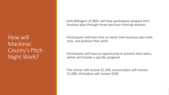How will Mackinac County's Pitch Night Work?

•Josh Billington of SBDC will help participants prepare their business plan through three two-hour training sessions

•Participants will have time to revise their business plan with Josh, and practice their pitch

•Participants will have an opportunity to present their plans, which will include a specific proposal

•The winner will receive \$1,500, second place will receive \$1,000, third place will receive \$500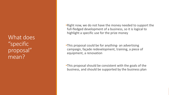What does "specific proposal" mean?

•Right now, we do not have the money needed to support the full-fledged development of a business, so it is logical to highlight a specific use for the prize money

•This proposal could be for anything- an advertising campaign, façade redevelopment, training, a piece of equipment, a renovation

•This proposal should be consistent with the goals of the business, and should be supported by the business plan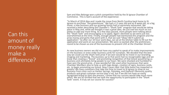Can this amount of money really make a difference?

Sam and Alex Belonga won a pitch competition held by the St Ignace Chamber of Commerce. This is Sam's account of the experience:

"In March of 2014 Alex and I made the move from North Carolina back home to St. Ignace to purchase "the greenhouse." We had a 2.5 year old and an 8 week old, so a big move, a new business and our growing family had us extremely exhausted. We received a letter describing the Chamber's "Shark Tank" program that would be taking place in May and, while we thought it was a great idea, we just had too much on our plates to add one more thing. As a few days passed, more people were talking about the "Shark Tank" and encouraging us to apply. Again I declined as we were just too overwhelmed at the time. Finally, enough people had mentioned this program and the prize money and perks that went with it, that we said "Okay! We'll submit an application." So after our 10 hour work days, we sat at the kitchen table to fill out the application and work on our presentation. We were so excited after the preliminary round to be chosen as one of the businesses to present LIVE at the Chamber Dinner!

As new business owners we did not have any capital to speak of to make improvements on the business or even order business cards for ourselves. We decided that the best way we could use the Shark Tank prize if we won would be to invest in our branding, imaging and marketing. The business up to that point had no recognizable logo and we knew that creating a "brand" and promoting recognition of that brand would bring us business and ultimately bring people to our town. We were shocked and humbled to have won the grand prize...it was wonderful! We used other businesses that were Chamber Members also to help us with logo design, creation of signs, business cards, etc. to begin promoting our brand. Now 5 years later that little boost has impacted us greatly! We have customers that take the time to travel to St Ignace to shop at our business from cities such as Harbor Springs, Petoskey, and Gaylord! Obviously quality products and great customer service play a roll, but if we did not have an easily recognized brand to start the process, I know that our success would take much more effort. We are SO thrilled that we took the opportunity to participate in the "Shark Tank" event. It truly set our course for success!"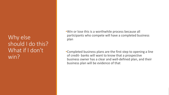### Why else should I do this? What if I don't win?

•Win or lose this is a worthwhile process because all participants who compete will have a completed business plan

•Completed business plans are the first step to opening a line of credit- banks will want to know that a prospective business owner has a clear and well-defined plan, and their business plan will be evidence of that